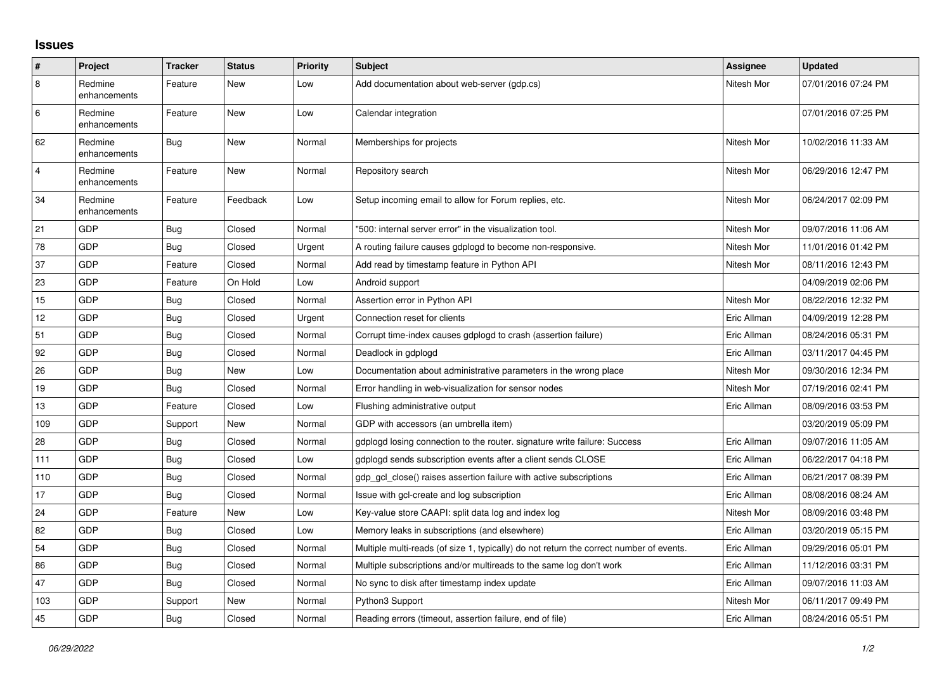## **Issues**

| #              | Project                 | <b>Tracker</b> | <b>Status</b> | <b>Priority</b> | <b>Subject</b>                                                                          | Assignee    | Updated             |
|----------------|-------------------------|----------------|---------------|-----------------|-----------------------------------------------------------------------------------------|-------------|---------------------|
| $\overline{8}$ | Redmine<br>enhancements | Feature        | New           | Low             | Add documentation about web-server (gdp.cs)                                             | Nitesh Mor  | 07/01/2016 07:24 PM |
| 6              | Redmine<br>enhancements | Feature        | New           | Low             | Calendar integration                                                                    |             | 07/01/2016 07:25 PM |
| 62             | Redmine<br>enhancements | <b>Bug</b>     | New           | Normal          | Memberships for projects                                                                | Nitesh Mor  | 10/02/2016 11:33 AM |
| $\overline{4}$ | Redmine<br>enhancements | Feature        | New           | Normal          | Repository search                                                                       | Nitesh Mor  | 06/29/2016 12:47 PM |
| 34             | Redmine<br>enhancements | Feature        | Feedback      | Low             | Setup incoming email to allow for Forum replies, etc.                                   | Nitesh Mor  | 06/24/2017 02:09 PM |
| 21             | GDP                     | Bug            | Closed        | Normal          | '500: internal server error" in the visualization tool.                                 | Nitesh Mor  | 09/07/2016 11:06 AM |
| 78             | GDP                     | <b>Bug</b>     | Closed        | Urgent          | A routing failure causes gdplogd to become non-responsive.                              | Nitesh Mor  | 11/01/2016 01:42 PM |
| 37             | <b>GDP</b>              | Feature        | Closed        | Normal          | Add read by timestamp feature in Python API                                             | Nitesh Mor  | 08/11/2016 12:43 PM |
| 23             | GDP                     | Feature        | On Hold       | Low             | Android support                                                                         |             | 04/09/2019 02:06 PM |
| 15             | GDP                     | Bug            | Closed        | Normal          | Assertion error in Python API                                                           | Nitesh Mor  | 08/22/2016 12:32 PM |
| 12             | GDP                     | Bug            | Closed        | Urgent          | Connection reset for clients                                                            | Eric Allman | 04/09/2019 12:28 PM |
| 51             | GDP                     | <b>Bug</b>     | Closed        | Normal          | Corrupt time-index causes gdplogd to crash (assertion failure)                          | Eric Allman | 08/24/2016 05:31 PM |
| 92             | GDP                     | Bug            | Closed        | Normal          | Deadlock in gdplogd                                                                     | Eric Allman | 03/11/2017 04:45 PM |
| 26             | GDP                     | <b>Bug</b>     | New           | Low             | Documentation about administrative parameters in the wrong place                        | Nitesh Mor  | 09/30/2016 12:34 PM |
| 19             | GDP                     | Bug            | Closed        | Normal          | Error handling in web-visualization for sensor nodes                                    | Nitesh Mor  | 07/19/2016 02:41 PM |
| 13             | GDP                     | Feature        | Closed        | Low             | Flushing administrative output                                                          | Eric Allman | 08/09/2016 03:53 PM |
| 109            | GDP                     | Support        | New           | Normal          | GDP with accessors (an umbrella item)                                                   |             | 03/20/2019 05:09 PM |
| 28             | GDP                     | <b>Bug</b>     | Closed        | Normal          | gdplogd losing connection to the router. signature write failure: Success               | Eric Allman | 09/07/2016 11:05 AM |
| 111            | GDP                     | Bug            | Closed        | Low             | gdplogd sends subscription events after a client sends CLOSE                            | Eric Allman | 06/22/2017 04:18 PM |
| 110            | GDP                     | Bug            | Closed        | Normal          | gdp_gcl_close() raises assertion failure with active subscriptions                      | Eric Allman | 06/21/2017 08:39 PM |
| 17             | GDP                     | Bug            | Closed        | Normal          | Issue with gcl-create and log subscription                                              | Eric Allman | 08/08/2016 08:24 AM |
| 24             | GDP                     | Feature        | New           | Low             | Key-value store CAAPI: split data log and index log                                     | Nitesh Mor  | 08/09/2016 03:48 PM |
| 82             | GDP                     | Bug            | Closed        | Low             | Memory leaks in subscriptions (and elsewhere)                                           | Eric Allman | 03/20/2019 05:15 PM |
| 54             | GDP                     | Bug            | Closed        | Normal          | Multiple multi-reads (of size 1, typically) do not return the correct number of events. | Eric Allman | 09/29/2016 05:01 PM |
| 86             | GDP                     | Bug            | Closed        | Normal          | Multiple subscriptions and/or multireads to the same log don't work                     | Eric Allman | 11/12/2016 03:31 PM |
| 47             | GDP                     | Bug            | Closed        | Normal          | No sync to disk after timestamp index update                                            | Eric Allman | 09/07/2016 11:03 AM |
| 103            | GDP                     | Support        | New           | Normal          | Python3 Support                                                                         | Nitesh Mor  | 06/11/2017 09:49 PM |
| 45             | GDP                     | Bug            | Closed        | Normal          | Reading errors (timeout, assertion failure, end of file)                                | Eric Allman | 08/24/2016 05:51 PM |